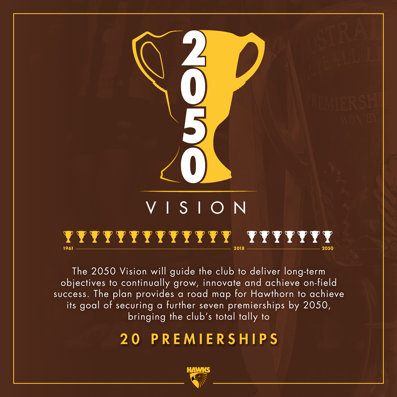

The 2050 Vision will guide the club to deliver long-term objectives to continually grow, innovate and achieve on-field success. The plan provides a road map for Hawthorn to achieve its goal of securing a further seven premierships by 2050, bringing the club's total tally to

### 20 PREMIERSHIPS

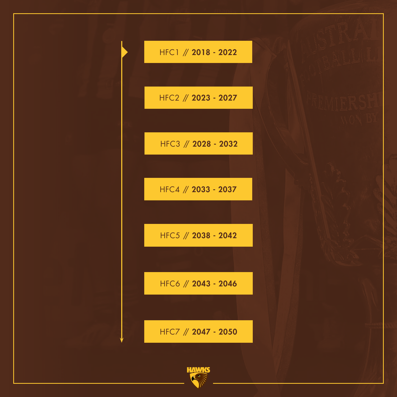

HFC1 // 2018 - 2022

HFC2 // 2023 - 2027

HFC3 // 2028 - 2032

HFC4 // 2033 - 2037

HFC5 // 2038 - 2042

HFC6 // 2043 - 2046

HFC7 // 2047 - 2050

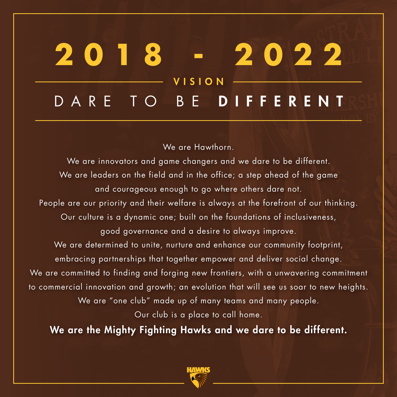### **2018 - 2022** ARE TO BE DIFFERENT VISION

We are Hawthorn.

We are innovators and game changers and we dare to be different. We are leaders on the field and in the office; a step ahead of the game and courageous enough to go where others dare not. People are our priority and their welfare is always at the forefront of our thinking. Our culture is a dynamic one; built on the foundations of inclusiveness, good governance and a desire to always improve. We are determined to unite, nurture and enhance our community footprint, embracing partnerships that together empower and deliver social change. We are committed to finding and forging new frontiers, with a unwavering commitment to commercial innovation and growth; an evolution that will see us soar to new heights. We are "one club" made up of many teams and many people. Our club is a place to call home.

We are the Mighty Fighting Hawks and we dare to be different.

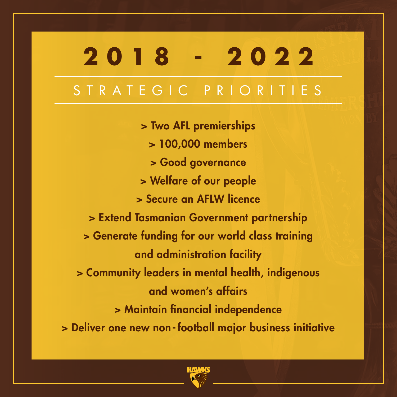## STRATEGIC PRIORITIES **2018 - 2022**

> Two AFL premierships > 100,000 members > Good governance > Welfare of our people > Secure an AFLW licence > Extend Tasmanian Government partnership > Generate funding for our world class training and administration facility > Community leaders in mental health, indigenous and women's affairs > Maintain financial independence > Deliver one new non- football major business initiative

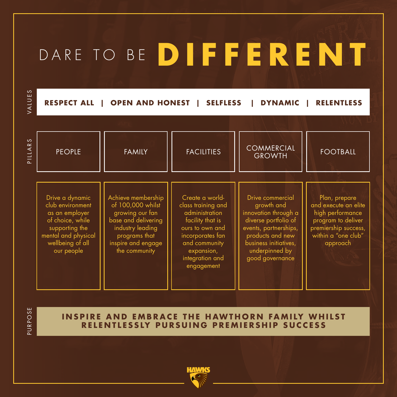## DARE TO BE **DIFFERENT**

VALUES VALUES

**RESPECT ALL | OPEN AND HONEST | SELFLESS | DYNAMIC | RELENTLESS**

| $\mathcal{O}$<br>$\overline{\mathbf{r}}$<br>PILLA | <b>PEOPLE</b>                                                                                                                                        | <b>FAMILY</b>                                                                                                                                                 | <b>FACILITIES</b>                                                                                                                                                                  | COMMERCIAL<br><b>GROWTH</b>                                                                                                                                                               | <b>FOOTBALL</b>                                                                                                                            |
|---------------------------------------------------|------------------------------------------------------------------------------------------------------------------------------------------------------|---------------------------------------------------------------------------------------------------------------------------------------------------------------|------------------------------------------------------------------------------------------------------------------------------------------------------------------------------------|-------------------------------------------------------------------------------------------------------------------------------------------------------------------------------------------|--------------------------------------------------------------------------------------------------------------------------------------------|
|                                                   |                                                                                                                                                      |                                                                                                                                                               |                                                                                                                                                                                    |                                                                                                                                                                                           |                                                                                                                                            |
|                                                   | Drive a dynamic<br>club environment<br>as an employer<br>of choice, while<br>supporting the<br>mental and physical<br>wellbeing of all<br>our people | Achieve membership<br>of 100,000 whilst<br>growing our fan<br>base and delivering<br>industry leading<br>programs that<br>inspire and engage<br>the community | Create a world-<br>class training and<br>administration<br>facility that is<br>ours to own and<br>incorporates fan<br>and community<br>expansion,<br>integration and<br>engagement | Drive commercial<br>growth and<br>innovation through a<br>diverse portfolio of<br>events, partnerships,<br>products and new<br>business initiatives,<br>underpinned by<br>good governance | Plan, prepare<br>and execute an elite<br>high performance<br>program to deliver<br>premiership success,<br>within a "one club"<br>approach |

URPOSE PURPOSE  $\mathbf{L}$ 

**INSPIRE AND EMBRACE THE HAWTHORN FAMILY WHILST RELENTLESSLY PURSUING PREMIERSHIP SUCCESS** 

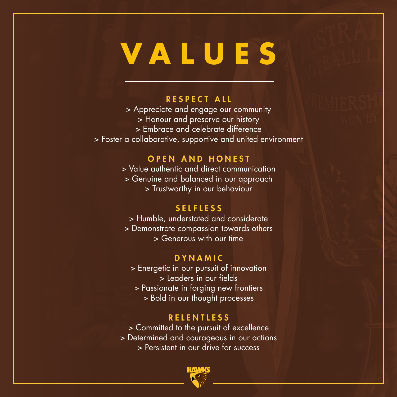# **VALUES**

#### RESPECT ALL

> Appreciate and engage our community

- > Honour and preserve our history
- > Embrace and celebrate difference
- > Foster a collaborative, supportive and united environment

#### OPEN AND HONEST

> Value authentic and direct communication

> Genuine and balanced in our approach

> Trustworthy in our behaviour

#### **SELFLESS**

> Humble, understated and considerate > Demonstrate compassion towards others > Generous with our time

#### DYNAMIC

> Energetic in our pursuit of innovation > Leaders in our fields

> Passionate in forging new frontiers > Bold in our thought processes

#### **RELENTLESS**

> Committed to the pursuit of excellence

- > Determined and courageous in our actions
	- > Persistent in our drive for success